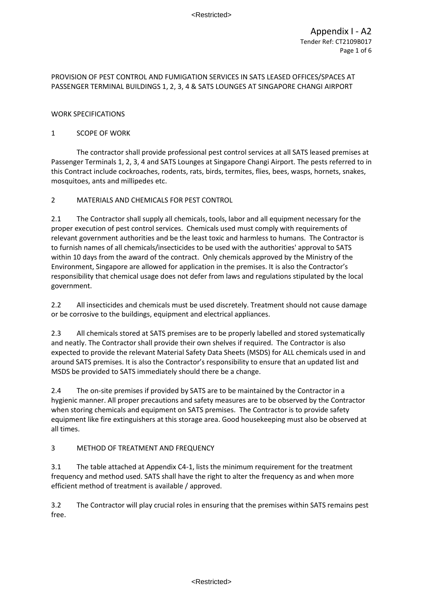### WORK SPECIFICATIONS

### 1 SCOPE OF WORK

The contractor shall provide professional pest control services at all SATS leased premises at Passenger Terminals 1, 2, 3, 4 and SATS Lounges at Singapore Changi Airport. The pests referred to in this Contract include cockroaches, rodents, rats, birds, termites, flies, bees, wasps, hornets, snakes, mosquitoes, ants and millipedes etc.

### 2 MATERIALS AND CHEMICALS FOR PEST CONTROL

2.1 The Contractor shall supply all chemicals, tools, labor and all equipment necessary for the proper execution of pest control services. Chemicals used must comply with requirements of relevant government authorities and be the least toxic and harmless to humans. The Contractor is to furnish names of all chemicals/insecticides to be used with the authorities' approval to SATS within 10 days from the award of the contract. Only chemicals approved by the Ministry of the Environment, Singapore are allowed for application in the premises. It is also the Contractor's responsibility that chemical usage does not defer from laws and regulations stipulated by the local government.

2.2 All insecticides and chemicals must be used discretely. Treatment should not cause damage or be corrosive to the buildings, equipment and electrical appliances.

2.3 All chemicals stored at SATS premises are to be properly labelled and stored systematically and neatly. The Contractor shall provide their own shelves if required. The Contractor is also expected to provide the relevant Material Safety Data Sheets (MSDS) for ALL chemicals used in and around SATS premises. It is also the Contractor's responsibility to ensure that an updated list and MSDS be provided to SATS immediately should there be a change.

2.4 The on-site premises if provided by SATS are to be maintained by the Contractor in a hygienic manner. All proper precautions and safety measures are to be observed by the Contractor when storing chemicals and equipment on SATS premises. The Contractor is to provide safety equipment like fire extinguishers at this storage area. Good housekeeping must also be observed at all times.

# 3 METHOD OF TREATMENT AND FREQUENCY

3.1 The table attached at Appendix C4-1, lists the minimum requirement for the treatment frequency and method used. SATS shall have the right to alter the frequency as and when more efficient method of treatment is available / approved.

3.2 The Contractor will play crucial roles in ensuring that the premises within SATS remains pest free.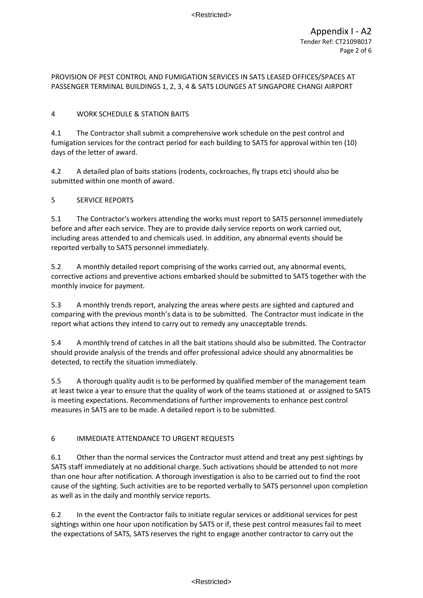# 4 WORK SCHEDULE & STATION BAITS

4.1 The Contractor shall submit a comprehensive work schedule on the pest control and fumigation services for the contract period for each building to SATS for approval within ten (10) days of the letter of award.

4.2 A detailed plan of baits stations (rodents, cockroaches, fly traps etc) should also be submitted within one month of award.

# 5 SERVICE REPORTS

5.1 The Contractor's workers attending the works must report to SATS personnel immediately before and after each service. They are to provide daily service reports on work carried out, including areas attended to and chemicals used. In addition, any abnormal events should be reported verbally to SATS personnel immediately.

5.2 A monthly detailed report comprising of the works carried out, any abnormal events, corrective actions and preventive actions embarked should be submitted to SATS together with the monthly invoice for payment.

5.3 A monthly trends report, analyzing the areas where pests are sighted and captured and comparing with the previous month's data is to be submitted. The Contractor must indicate in the report what actions they intend to carry out to remedy any unacceptable trends.

5.4 A monthly trend of catches in all the bait stations should also be submitted. The Contractor should provide analysis of the trends and offer professional advice should any abnormalities be detected, to rectify the situation immediately.

5.5 A thorough quality audit is to be performed by qualified member of the management team at least twice a year to ensure that the quality of work of the teams stationed at or assigned to SATS is meeting expectations. Recommendations of further improvements to enhance pest control measures in SATS are to be made. A detailed report is to be submitted.

# 6 IMMEDIATE ATTENDANCE TO URGENT REQUESTS

6.1 Other than the normal services the Contractor must attend and treat any pest sightings by SATS staff immediately at no additional charge. Such activations should be attended to not more than one hour after notification. A thorough investigation is also to be carried out to find the root cause of the sighting. Such activities are to be reported verbally to SATS personnel upon completion as well as in the daily and monthly service reports.

6.2 In the event the Contractor fails to initiate regular services or additional services for pest sightings within one hour upon notification by SATS or if, these pest control measures fail to meet the expectations of SATS, SATS reserves the right to engage another contractor to carry out the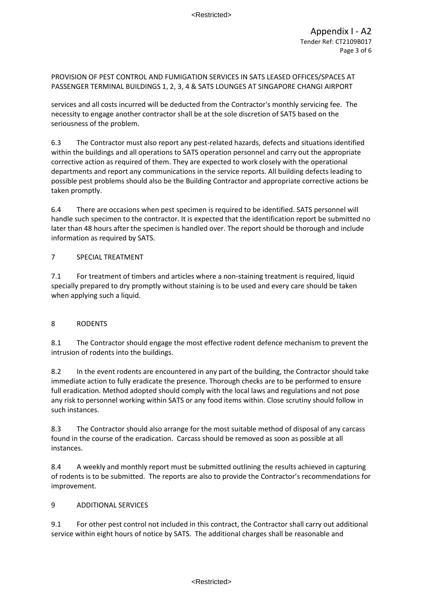services and all costs incurred will be deducted from the Contractor's monthly servicing fee. The necessity to engage another contractor shall be at the sole discretion of SATS based on the seriousness of the problem.

6.3 The Contractor must also report any pest-related hazards, defects and situations identified within the buildings and all operations to SATS operation personnel and carry out the appropriate corrective action as required of them. They are expected to work closely with the operational departments and report any communications in the service reports. All building defects leading to possible pest problems should also be the Building Contractor and appropriate corrective actions be taken promptly.

6.4 There are occasions when pest specimen is required to be identified. SATS personnel will handle such specimen to the contractor. It is expected that the identification report be submitted no later than 48 hours after the specimen is handled over. The report should be thorough and include information as required by SATS.

### 7 SPECIAL TREATMENT

7.1 For treatment of timbers and articles where a non-staining treatment is required, liquid specially prepared to dry promptly without staining is to be used and every care should be taken when applying such a liquid.

# 8 RODENTS

8.1 The Contractor should engage the most effective rodent defence mechanism to prevent the intrusion of rodents into the buildings.

8.2 In the event rodents are encountered in any part of the building, the Contractor should take immediate action to fully eradicate the presence. Thorough checks are to be performed to ensure full eradication. Method adopted should comply with the local laws and regulations and not pose any risk to personnel working within SATS or any food items within. Close scrutiny should follow in such instances.

8.3 The Contractor should also arrange for the most suitable method of disposal of any carcass found in the course of the eradication. Carcass should be removed as soon as possible at all instances.

8.4 A weekly and monthly report must be submitted outlining the results achieved in capturing of rodents is to be submitted. The reports are also to provide the Contractor's recommendations for improvement.

#### 9 ADDITIONAL SERVICES

9.1 For other pest control not included in this contract, the Contractor shall carry out additional service within eight hours of notice by SATS. The additional charges shall be reasonable and

#### <Restricted>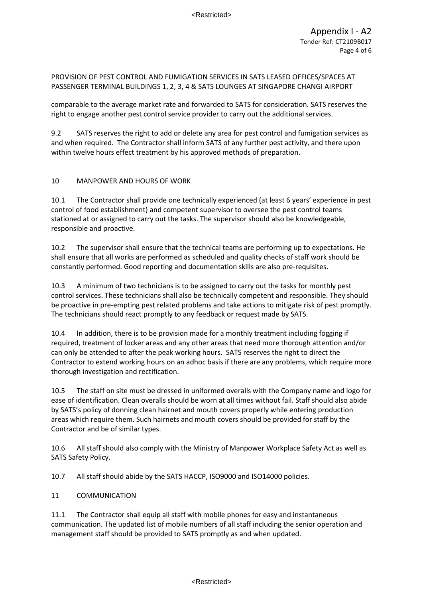comparable to the average market rate and forwarded to SATS for consideration. SATS reserves the right to engage another pest control service provider to carry out the additional services.

9.2 SATS reserves the right to add or delete any area for pest control and fumigation services as and when required. The Contractor shall inform SATS of any further pest activity, and there upon within twelve hours effect treatment by his approved methods of preparation.

### 10 MANPOWER AND HOURS OF WORK

10.1 The Contractor shall provide one technically experienced (at least 6 years' experience in pest control of food establishment) and competent supervisor to oversee the pest control teams stationed at or assigned to carry out the tasks. The supervisor should also be knowledgeable, responsible and proactive.

10.2 The supervisor shall ensure that the technical teams are performing up to expectations. He shall ensure that all works are performed as scheduled and quality checks of staff work should be constantly performed. Good reporting and documentation skills are also pre-requisites.

10.3 A minimum of two technicians is to be assigned to carry out the tasks for monthly pest control services. These technicians shall also be technically competent and responsible. They should be proactive in pre-empting pest related problems and take actions to mitigate risk of pest promptly. The technicians should react promptly to any feedback or request made by SATS.

10.4 In addition, there is to be provision made for a monthly treatment including fogging if required, treatment of locker areas and any other areas that need more thorough attention and/or can only be attended to after the peak working hours. SATS reserves the right to direct the Contractor to extend working hours on an adhoc basis if there are any problems, which require more thorough investigation and rectification.

10.5 The staff on site must be dressed in uniformed overalls with the Company name and logo for ease of identification. Clean overalls should be worn at all times without fail. Staff should also abide by SATS's policy of donning clean hairnet and mouth covers properly while entering production areas which require them. Such hairnets and mouth covers should be provided for staff by the Contractor and be of similar types.

10.6 All staff should also comply with the Ministry of Manpower Workplace Safety Act as well as SATS Safety Policy.

10.7 All staff should abide by the SATS HACCP, ISO9000 and ISO14000 policies.

#### 11 COMMUNICATION

11.1 The Contractor shall equip all staff with mobile phones for easy and instantaneous communication. The updated list of mobile numbers of all staff including the senior operation and management staff should be provided to SATS promptly as and when updated.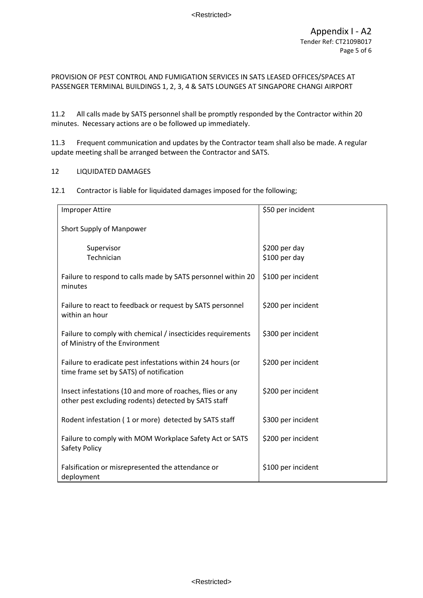11.2 All calls made by SATS personnel shall be promptly responded by the Contractor within 20 minutes. Necessary actions are o be followed up immediately.

11.3 Frequent communication and updates by the Contractor team shall also be made. A regular update meeting shall be arranged between the Contractor and SATS.

#### 12 LIQUIDATED DAMAGES

12.1 Contractor is liable for liquidated damages imposed for the following;

| <b>Improper Attire</b>                                                                                            | \$50 per incident              |
|-------------------------------------------------------------------------------------------------------------------|--------------------------------|
| Short Supply of Manpower                                                                                          |                                |
| Supervisor<br>Technician                                                                                          | \$200 per day<br>\$100 per day |
| Failure to respond to calls made by SATS personnel within 20<br>minutes                                           | \$100 per incident             |
| Failure to react to feedback or request by SATS personnel<br>within an hour                                       | \$200 per incident             |
| Failure to comply with chemical / insecticides requirements<br>of Ministry of the Environment                     | \$300 per incident             |
| Failure to eradicate pest infestations within 24 hours (or<br>time frame set by SATS) of notification             | \$200 per incident             |
| Insect infestations (10 and more of roaches, flies or any<br>other pest excluding rodents) detected by SATS staff | \$200 per incident             |
| Rodent infestation (1 or more) detected by SATS staff                                                             | \$300 per incident             |
| Failure to comply with MOM Workplace Safety Act or SATS<br>Safety Policy                                          | \$200 per incident             |
| Falsification or misrepresented the attendance or<br>deployment                                                   | \$100 per incident             |